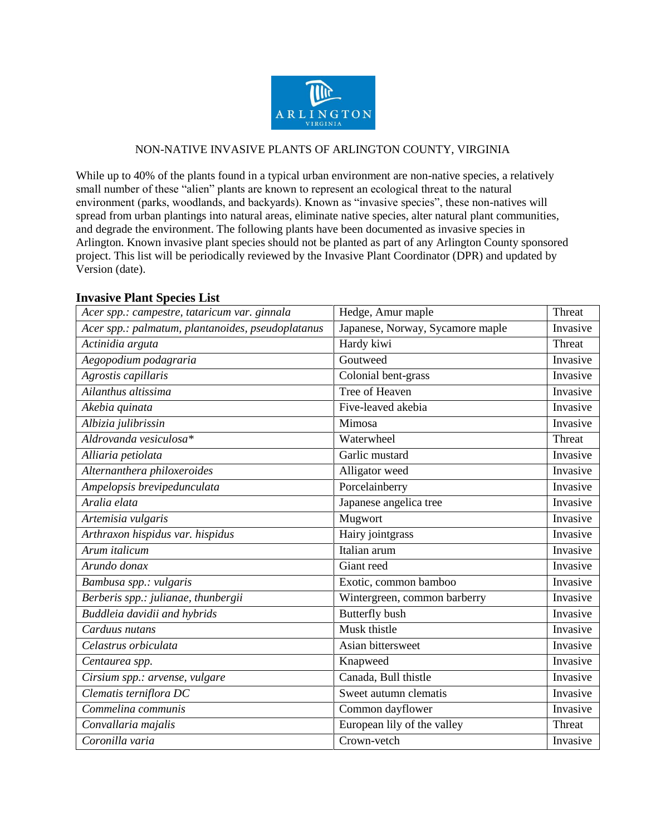

## NON-NATIVE INVASIVE PLANTS OF ARLINGTON COUNTY, VIRGINIA

While up to 40% of the plants found in a typical urban environment are non-native species, a relatively small number of these "alien" plants are known to represent an ecological threat to the natural environment (parks, woodlands, and backyards). Known as "invasive species", these non-natives will spread from urban plantings into natural areas, eliminate native species, alter natural plant communities, and degrade the environment. The following plants have been documented as invasive species in Arlington. Known invasive plant species should not be planted as part of any Arlington County sponsored project. This list will be periodically reviewed by the Invasive Plant Coordinator (DPR) and updated by Version (date).

## **Invasive Plant Species List**

| Acer spp.: campestre, tataricum var. ginnala      | Hedge, Amur maple                | Threat   |
|---------------------------------------------------|----------------------------------|----------|
| Acer spp.: palmatum, plantanoides, pseudoplatanus | Japanese, Norway, Sycamore maple | Invasive |
| Actinidia arguta                                  | Hardy kiwi                       | Threat   |
| Aegopodium podagraria                             | Goutweed                         | Invasive |
| Agrostis capillaris                               | Colonial bent-grass              | Invasive |
| Ailanthus altissima                               | <b>Tree of Heaven</b>            | Invasive |
| Akebia quinata                                    | Five-leaved akebia               | Invasive |
| Albizia julibrissin                               | Mimosa                           | Invasive |
| Aldrovanda vesiculosa*                            | Waterwheel                       | Threat   |
| Alliaria petiolata                                | Garlic mustard                   | Invasive |
| Alternanthera philoxeroides                       | Alligator weed                   | Invasive |
| Ampelopsis brevipedunculata                       | Porcelainberry                   | Invasive |
| Aralia elata                                      | Japanese angelica tree           | Invasive |
| Artemisia vulgaris                                | Mugwort                          | Invasive |
| Arthraxon hispidus var. hispidus                  | Hairy jointgrass                 | Invasive |
| Arum italicum                                     | Italian arum                     | Invasive |
| Arundo donax                                      | Giant reed                       | Invasive |
| Bambusa spp.: vulgaris                            | Exotic, common bamboo            | Invasive |
| Berberis spp.: julianae, thunbergii               | Wintergreen, common barberry     | Invasive |
| Buddleia davidii and hybrids                      | <b>Butterfly bush</b>            | Invasive |
| Carduus nutans                                    | Musk thistle                     | Invasive |
| Celastrus orbiculata                              | Asian bittersweet                | Invasive |
| Centaurea spp.                                    | Knapweed                         | Invasive |
| Cirsium spp.: arvense, vulgare                    | Canada, Bull thistle             | Invasive |
| Clematis terniflora DC                            | Sweet autumn clematis            | Invasive |
| Commelina communis                                | Common dayflower                 | Invasive |
| Convallaria majalis                               | European lily of the valley      | Threat   |
| Coronilla varia                                   | Crown-vetch                      | Invasive |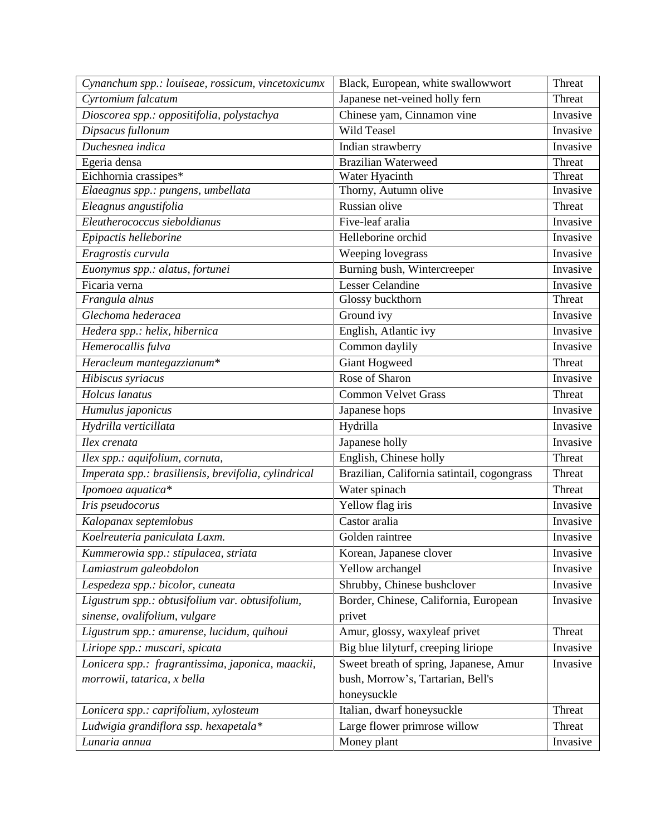| Cynanchum spp.: louiseae, rossicum, vincetoxicumx    | Black, European, white swallowwort          | Threat   |
|------------------------------------------------------|---------------------------------------------|----------|
| Cyrtomium falcatum                                   | Japanese net-veined holly fern              | Threat   |
| Dioscorea spp.: oppositifolia, polystachya           | Chinese yam, Cinnamon vine                  | Invasive |
| Dipsacus fullonum                                    | <b>Wild Teasel</b>                          | Invasive |
| Duchesnea indica                                     | Indian strawberry                           | Invasive |
| Egeria densa                                         | <b>Brazilian Waterweed</b>                  | Threat   |
| Eichhornia crassipes*                                | Water Hyacinth                              | Threat   |
| Elaeagnus spp.: pungens, umbellata                   | Thorny, Autumn olive                        | Invasive |
| Eleagnus angustifolia                                | Russian olive                               | Threat   |
| Eleutherococcus sieboldianus                         | Five-leaf aralia                            | Invasive |
| Epipactis helleborine                                | Helleborine orchid                          | Invasive |
| Eragrostis curvula                                   | Weeping lovegrass                           | Invasive |
| Euonymus spp.: alatus, fortunei                      | Burning bush, Wintercreeper                 | Invasive |
| Ficaria verna                                        | <b>Lesser Celandine</b>                     | Invasive |
| Frangula alnus                                       | Glossy buckthorn                            | Threat   |
| Glechoma hederacea                                   | Ground ivy                                  | Invasive |
| Hedera spp.: helix, hibernica                        | English, Atlantic ivy                       | Invasive |
| Hemerocallis fulva                                   | Common daylily                              | Invasive |
| Heracleum mantegazzianum*                            | <b>Giant Hogweed</b>                        | Threat   |
| Hibiscus syriacus                                    | Rose of Sharon                              | Invasive |
| Holcus lanatus                                       | <b>Common Velvet Grass</b>                  | Threat   |
| Humulus japonicus                                    | Japanese hops                               | Invasive |
| Hydrilla verticillata                                | Hydrilla                                    | Invasive |
| Ilex crenata                                         | Japanese holly                              | Invasive |
| Ilex spp.: aquifolium, cornuta,                      | English, Chinese holly                      | Threat   |
| Imperata spp.: brasiliensis, brevifolia, cylindrical | Brazilian, California satintail, cogongrass | Threat   |
| Ipomoea aquatica*                                    | Water spinach                               | Threat   |
| Iris pseudocorus                                     | Yellow flag iris                            | Invasive |
| Kalopanax septemlobus                                | Castor aralia                               | Invasive |
| Koelreuteria paniculata Laxm.                        | Golden raintree                             | Invasive |
| Kummerowia spp.: stipulacea, striata                 | Korean, Japanese clover                     | Invasive |
| Lamiastrum galeobdolon                               | Yellow archangel                            | Invasive |
| Lespedeza spp.: bicolor, cuneata                     | Shrubby, Chinese bushclover                 | Invasive |
| Ligustrum spp.: obtusifolium var. obtusifolium,      | Border, Chinese, California, European       | Invasive |
| sinense, ovalifolium, vulgare                        | privet                                      |          |
| Ligustrum spp.: amurense, lucidum, quihoui           | Amur, glossy, waxyleaf privet               | Threat   |
| Liriope spp.: muscari, spicata                       | Big blue lilyturf, creeping liriope         | Invasive |
| Lonicera spp.: fragrantissima, japonica, maackii,    | Sweet breath of spring, Japanese, Amur      | Invasive |
| morrowii, tatarica, x bella                          | bush, Morrow's, Tartarian, Bell's           |          |
|                                                      | honeysuckle                                 |          |
| Lonicera spp.: caprifolium, xylosteum                | Italian, dwarf honeysuckle                  | Threat   |
| Ludwigia grandiflora ssp. hexapetala*                | Large flower primrose willow                | Threat   |
| Lunaria annua                                        | Money plant                                 | Invasive |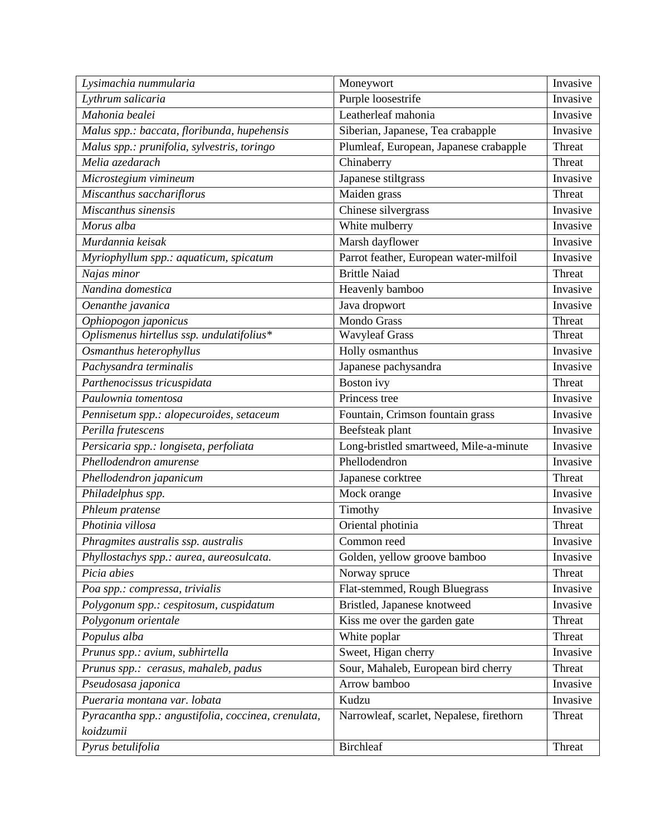| Purple loosestrife<br>Lythrum salicaria<br>Invasive<br>Leatherleaf mahonia<br>Mahonia bealei<br>Invasive<br>Malus spp.: baccata, floribunda, hupehensis<br>Siberian, Japanese, Tea crabapple<br>Invasive<br>Plumleaf, European, Japanese crabapple<br>Malus spp.: prunifolia, sylvestris, toringo<br>Threat<br>Chinaberry<br>Melia azedarach<br>Threat<br>Japanese stiltgrass<br>Invasive<br>Microstegium vimineum<br>Miscanthus sacchariflorus<br>Maiden grass<br>Threat<br>Chinese silvergrass<br>Miscanthus sinensis<br>Invasive<br>Morus alba<br>White mulberry<br>Invasive<br>Murdannia keisak<br>Marsh dayflower<br>Invasive<br>Parrot feather, European water-milfoil<br>Invasive<br>Myriophyllum spp.: aquaticum, spicatum<br><b>Brittle Naiad</b><br>Najas minor<br>Threat<br>Nandina domestica<br>Heavenly bamboo<br>Invasive<br>Java dropwort<br>Invasive<br>Oenanthe javanica<br><b>Mondo Grass</b><br>Ophiopogon japonicus<br>Threat<br>Oplismenus hirtellus ssp. undulatifolius*<br>Wavyleaf Grass<br>Threat<br>Invasive<br>Osmanthus heterophyllus<br>Holly osmanthus<br>Pachysandra terminalis<br>Japanese pachysandra<br>Invasive<br>Parthenocissus tricuspidata<br><b>Boston</b> ivy<br>Threat<br>Princess tree<br>Paulownia tomentosa<br>Invasive<br>Pennisetum spp.: alopecuroides, setaceum<br>Fountain, Crimson fountain grass<br>Invasive<br>Perilla frutescens<br>Beefsteak plant<br>Invasive<br>Persicaria spp.: longiseta, perfoliata<br>Long-bristled smartweed, Mile-a-minute<br>Invasive<br>Phellodendron<br>Phellodendron amurense<br>Invasive<br>Phellodendron japanicum<br>Japanese corktree<br>Threat<br>Philadelphus spp.<br>Mock orange<br>Invasive<br>Phleum pratense<br>Timothy<br>Invasive<br>Photinia villosa<br>Oriental photinia<br>Threat<br>Phragmites australis ssp. australis<br>Common reed<br>Invasive<br>Phyllostachys spp.: aurea, aureosulcata.<br>Golden, yellow groove bamboo<br>Invasive<br>Picia abies<br>Threat | Lysimachia nummularia | Moneywort     | Invasive |
|------------------------------------------------------------------------------------------------------------------------------------------------------------------------------------------------------------------------------------------------------------------------------------------------------------------------------------------------------------------------------------------------------------------------------------------------------------------------------------------------------------------------------------------------------------------------------------------------------------------------------------------------------------------------------------------------------------------------------------------------------------------------------------------------------------------------------------------------------------------------------------------------------------------------------------------------------------------------------------------------------------------------------------------------------------------------------------------------------------------------------------------------------------------------------------------------------------------------------------------------------------------------------------------------------------------------------------------------------------------------------------------------------------------------------------------------------------------------------------------------------------------------------------------------------------------------------------------------------------------------------------------------------------------------------------------------------------------------------------------------------------------------------------------------------------------------------------------------------------------------------------------------------------------------------------------------------------------------|-----------------------|---------------|----------|
|                                                                                                                                                                                                                                                                                                                                                                                                                                                                                                                                                                                                                                                                                                                                                                                                                                                                                                                                                                                                                                                                                                                                                                                                                                                                                                                                                                                                                                                                                                                                                                                                                                                                                                                                                                                                                                                                                                                                                                        |                       |               |          |
|                                                                                                                                                                                                                                                                                                                                                                                                                                                                                                                                                                                                                                                                                                                                                                                                                                                                                                                                                                                                                                                                                                                                                                                                                                                                                                                                                                                                                                                                                                                                                                                                                                                                                                                                                                                                                                                                                                                                                                        |                       |               |          |
|                                                                                                                                                                                                                                                                                                                                                                                                                                                                                                                                                                                                                                                                                                                                                                                                                                                                                                                                                                                                                                                                                                                                                                                                                                                                                                                                                                                                                                                                                                                                                                                                                                                                                                                                                                                                                                                                                                                                                                        |                       |               |          |
|                                                                                                                                                                                                                                                                                                                                                                                                                                                                                                                                                                                                                                                                                                                                                                                                                                                                                                                                                                                                                                                                                                                                                                                                                                                                                                                                                                                                                                                                                                                                                                                                                                                                                                                                                                                                                                                                                                                                                                        |                       |               |          |
|                                                                                                                                                                                                                                                                                                                                                                                                                                                                                                                                                                                                                                                                                                                                                                                                                                                                                                                                                                                                                                                                                                                                                                                                                                                                                                                                                                                                                                                                                                                                                                                                                                                                                                                                                                                                                                                                                                                                                                        |                       |               |          |
|                                                                                                                                                                                                                                                                                                                                                                                                                                                                                                                                                                                                                                                                                                                                                                                                                                                                                                                                                                                                                                                                                                                                                                                                                                                                                                                                                                                                                                                                                                                                                                                                                                                                                                                                                                                                                                                                                                                                                                        |                       |               |          |
|                                                                                                                                                                                                                                                                                                                                                                                                                                                                                                                                                                                                                                                                                                                                                                                                                                                                                                                                                                                                                                                                                                                                                                                                                                                                                                                                                                                                                                                                                                                                                                                                                                                                                                                                                                                                                                                                                                                                                                        |                       |               |          |
|                                                                                                                                                                                                                                                                                                                                                                                                                                                                                                                                                                                                                                                                                                                                                                                                                                                                                                                                                                                                                                                                                                                                                                                                                                                                                                                                                                                                                                                                                                                                                                                                                                                                                                                                                                                                                                                                                                                                                                        |                       |               |          |
|                                                                                                                                                                                                                                                                                                                                                                                                                                                                                                                                                                                                                                                                                                                                                                                                                                                                                                                                                                                                                                                                                                                                                                                                                                                                                                                                                                                                                                                                                                                                                                                                                                                                                                                                                                                                                                                                                                                                                                        |                       |               |          |
|                                                                                                                                                                                                                                                                                                                                                                                                                                                                                                                                                                                                                                                                                                                                                                                                                                                                                                                                                                                                                                                                                                                                                                                                                                                                                                                                                                                                                                                                                                                                                                                                                                                                                                                                                                                                                                                                                                                                                                        |                       |               |          |
|                                                                                                                                                                                                                                                                                                                                                                                                                                                                                                                                                                                                                                                                                                                                                                                                                                                                                                                                                                                                                                                                                                                                                                                                                                                                                                                                                                                                                                                                                                                                                                                                                                                                                                                                                                                                                                                                                                                                                                        |                       |               |          |
|                                                                                                                                                                                                                                                                                                                                                                                                                                                                                                                                                                                                                                                                                                                                                                                                                                                                                                                                                                                                                                                                                                                                                                                                                                                                                                                                                                                                                                                                                                                                                                                                                                                                                                                                                                                                                                                                                                                                                                        |                       |               |          |
|                                                                                                                                                                                                                                                                                                                                                                                                                                                                                                                                                                                                                                                                                                                                                                                                                                                                                                                                                                                                                                                                                                                                                                                                                                                                                                                                                                                                                                                                                                                                                                                                                                                                                                                                                                                                                                                                                                                                                                        |                       |               |          |
|                                                                                                                                                                                                                                                                                                                                                                                                                                                                                                                                                                                                                                                                                                                                                                                                                                                                                                                                                                                                                                                                                                                                                                                                                                                                                                                                                                                                                                                                                                                                                                                                                                                                                                                                                                                                                                                                                                                                                                        |                       |               |          |
|                                                                                                                                                                                                                                                                                                                                                                                                                                                                                                                                                                                                                                                                                                                                                                                                                                                                                                                                                                                                                                                                                                                                                                                                                                                                                                                                                                                                                                                                                                                                                                                                                                                                                                                                                                                                                                                                                                                                                                        |                       |               |          |
|                                                                                                                                                                                                                                                                                                                                                                                                                                                                                                                                                                                                                                                                                                                                                                                                                                                                                                                                                                                                                                                                                                                                                                                                                                                                                                                                                                                                                                                                                                                                                                                                                                                                                                                                                                                                                                                                                                                                                                        |                       |               |          |
|                                                                                                                                                                                                                                                                                                                                                                                                                                                                                                                                                                                                                                                                                                                                                                                                                                                                                                                                                                                                                                                                                                                                                                                                                                                                                                                                                                                                                                                                                                                                                                                                                                                                                                                                                                                                                                                                                                                                                                        |                       |               |          |
|                                                                                                                                                                                                                                                                                                                                                                                                                                                                                                                                                                                                                                                                                                                                                                                                                                                                                                                                                                                                                                                                                                                                                                                                                                                                                                                                                                                                                                                                                                                                                                                                                                                                                                                                                                                                                                                                                                                                                                        |                       |               |          |
|                                                                                                                                                                                                                                                                                                                                                                                                                                                                                                                                                                                                                                                                                                                                                                                                                                                                                                                                                                                                                                                                                                                                                                                                                                                                                                                                                                                                                                                                                                                                                                                                                                                                                                                                                                                                                                                                                                                                                                        |                       |               |          |
|                                                                                                                                                                                                                                                                                                                                                                                                                                                                                                                                                                                                                                                                                                                                                                                                                                                                                                                                                                                                                                                                                                                                                                                                                                                                                                                                                                                                                                                                                                                                                                                                                                                                                                                                                                                                                                                                                                                                                                        |                       |               |          |
|                                                                                                                                                                                                                                                                                                                                                                                                                                                                                                                                                                                                                                                                                                                                                                                                                                                                                                                                                                                                                                                                                                                                                                                                                                                                                                                                                                                                                                                                                                                                                                                                                                                                                                                                                                                                                                                                                                                                                                        |                       |               |          |
|                                                                                                                                                                                                                                                                                                                                                                                                                                                                                                                                                                                                                                                                                                                                                                                                                                                                                                                                                                                                                                                                                                                                                                                                                                                                                                                                                                                                                                                                                                                                                                                                                                                                                                                                                                                                                                                                                                                                                                        |                       |               |          |
|                                                                                                                                                                                                                                                                                                                                                                                                                                                                                                                                                                                                                                                                                                                                                                                                                                                                                                                                                                                                                                                                                                                                                                                                                                                                                                                                                                                                                                                                                                                                                                                                                                                                                                                                                                                                                                                                                                                                                                        |                       |               |          |
|                                                                                                                                                                                                                                                                                                                                                                                                                                                                                                                                                                                                                                                                                                                                                                                                                                                                                                                                                                                                                                                                                                                                                                                                                                                                                                                                                                                                                                                                                                                                                                                                                                                                                                                                                                                                                                                                                                                                                                        |                       |               |          |
|                                                                                                                                                                                                                                                                                                                                                                                                                                                                                                                                                                                                                                                                                                                                                                                                                                                                                                                                                                                                                                                                                                                                                                                                                                                                                                                                                                                                                                                                                                                                                                                                                                                                                                                                                                                                                                                                                                                                                                        |                       |               |          |
|                                                                                                                                                                                                                                                                                                                                                                                                                                                                                                                                                                                                                                                                                                                                                                                                                                                                                                                                                                                                                                                                                                                                                                                                                                                                                                                                                                                                                                                                                                                                                                                                                                                                                                                                                                                                                                                                                                                                                                        |                       |               |          |
|                                                                                                                                                                                                                                                                                                                                                                                                                                                                                                                                                                                                                                                                                                                                                                                                                                                                                                                                                                                                                                                                                                                                                                                                                                                                                                                                                                                                                                                                                                                                                                                                                                                                                                                                                                                                                                                                                                                                                                        |                       |               |          |
|                                                                                                                                                                                                                                                                                                                                                                                                                                                                                                                                                                                                                                                                                                                                                                                                                                                                                                                                                                                                                                                                                                                                                                                                                                                                                                                                                                                                                                                                                                                                                                                                                                                                                                                                                                                                                                                                                                                                                                        |                       |               |          |
|                                                                                                                                                                                                                                                                                                                                                                                                                                                                                                                                                                                                                                                                                                                                                                                                                                                                                                                                                                                                                                                                                                                                                                                                                                                                                                                                                                                                                                                                                                                                                                                                                                                                                                                                                                                                                                                                                                                                                                        |                       |               |          |
|                                                                                                                                                                                                                                                                                                                                                                                                                                                                                                                                                                                                                                                                                                                                                                                                                                                                                                                                                                                                                                                                                                                                                                                                                                                                                                                                                                                                                                                                                                                                                                                                                                                                                                                                                                                                                                                                                                                                                                        |                       |               |          |
|                                                                                                                                                                                                                                                                                                                                                                                                                                                                                                                                                                                                                                                                                                                                                                                                                                                                                                                                                                                                                                                                                                                                                                                                                                                                                                                                                                                                                                                                                                                                                                                                                                                                                                                                                                                                                                                                                                                                                                        |                       | Norway spruce |          |
| Flat-stemmed, Rough Bluegrass<br>Poa spp.: compressa, trivialis<br>Invasive                                                                                                                                                                                                                                                                                                                                                                                                                                                                                                                                                                                                                                                                                                                                                                                                                                                                                                                                                                                                                                                                                                                                                                                                                                                                                                                                                                                                                                                                                                                                                                                                                                                                                                                                                                                                                                                                                            |                       |               |          |
| Bristled, Japanese knotweed<br>Polygonum spp.: cespitosum, cuspidatum<br>Invasive                                                                                                                                                                                                                                                                                                                                                                                                                                                                                                                                                                                                                                                                                                                                                                                                                                                                                                                                                                                                                                                                                                                                                                                                                                                                                                                                                                                                                                                                                                                                                                                                                                                                                                                                                                                                                                                                                      |                       |               |          |
| Polygonum orientale<br>Kiss me over the garden gate<br>Threat                                                                                                                                                                                                                                                                                                                                                                                                                                                                                                                                                                                                                                                                                                                                                                                                                                                                                                                                                                                                                                                                                                                                                                                                                                                                                                                                                                                                                                                                                                                                                                                                                                                                                                                                                                                                                                                                                                          |                       |               |          |
| Populus alba<br>White poplar<br>Threat                                                                                                                                                                                                                                                                                                                                                                                                                                                                                                                                                                                                                                                                                                                                                                                                                                                                                                                                                                                                                                                                                                                                                                                                                                                                                                                                                                                                                                                                                                                                                                                                                                                                                                                                                                                                                                                                                                                                 |                       |               |          |
| Prunus spp.: avium, subhirtella<br>Sweet, Higan cherry<br>Invasive                                                                                                                                                                                                                                                                                                                                                                                                                                                                                                                                                                                                                                                                                                                                                                                                                                                                                                                                                                                                                                                                                                                                                                                                                                                                                                                                                                                                                                                                                                                                                                                                                                                                                                                                                                                                                                                                                                     |                       |               |          |
| Prunus spp.: cerasus, mahaleb, padus<br>Sour, Mahaleb, European bird cherry<br>Threat                                                                                                                                                                                                                                                                                                                                                                                                                                                                                                                                                                                                                                                                                                                                                                                                                                                                                                                                                                                                                                                                                                                                                                                                                                                                                                                                                                                                                                                                                                                                                                                                                                                                                                                                                                                                                                                                                  |                       |               |          |
| Arrow bamboo<br>Pseudosasa japonica<br>Invasive                                                                                                                                                                                                                                                                                                                                                                                                                                                                                                                                                                                                                                                                                                                                                                                                                                                                                                                                                                                                                                                                                                                                                                                                                                                                                                                                                                                                                                                                                                                                                                                                                                                                                                                                                                                                                                                                                                                        |                       |               |          |
| Pueraria montana var. lobata<br>Kudzu<br>Invasive                                                                                                                                                                                                                                                                                                                                                                                                                                                                                                                                                                                                                                                                                                                                                                                                                                                                                                                                                                                                                                                                                                                                                                                                                                                                                                                                                                                                                                                                                                                                                                                                                                                                                                                                                                                                                                                                                                                      |                       |               |          |
| Pyracantha spp.: angustifolia, coccinea, crenulata,<br>Narrowleaf, scarlet, Nepalese, firethorn<br>Threat<br>koidzumii                                                                                                                                                                                                                                                                                                                                                                                                                                                                                                                                                                                                                                                                                                                                                                                                                                                                                                                                                                                                                                                                                                                                                                                                                                                                                                                                                                                                                                                                                                                                                                                                                                                                                                                                                                                                                                                 |                       |               |          |
| <b>Birchleaf</b><br>Pyrus betulifolia<br>Threat                                                                                                                                                                                                                                                                                                                                                                                                                                                                                                                                                                                                                                                                                                                                                                                                                                                                                                                                                                                                                                                                                                                                                                                                                                                                                                                                                                                                                                                                                                                                                                                                                                                                                                                                                                                                                                                                                                                        |                       |               |          |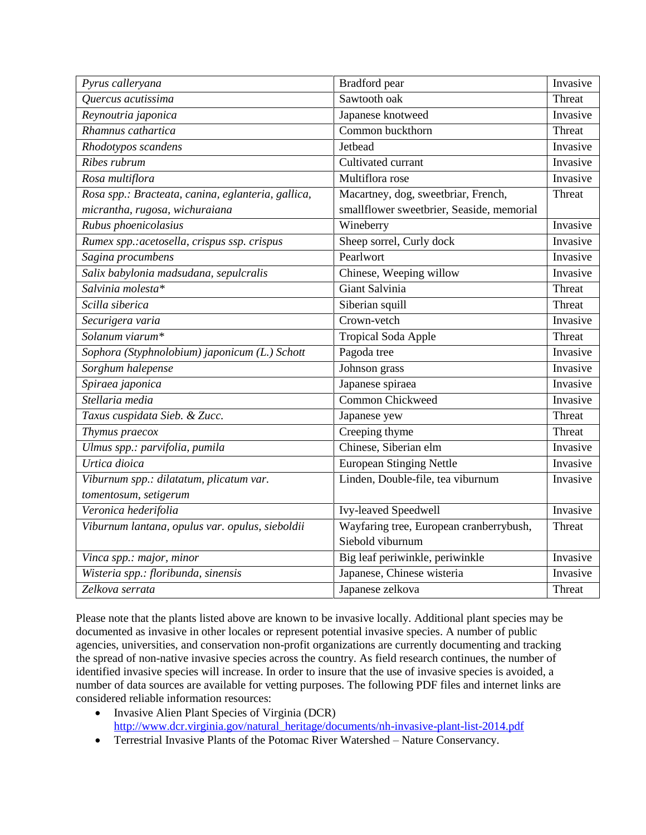| Pyrus calleryana                                   | Bradford pear                             | Invasive |
|----------------------------------------------------|-------------------------------------------|----------|
| Quercus acutissima                                 | Sawtooth oak                              | Threat   |
| Reynoutria japonica                                | Japanese knotweed                         | Invasive |
| Rhamnus cathartica                                 | Common buckthorn                          | Threat   |
| Rhodotypos scandens                                | Jetbead                                   | Invasive |
| Ribes rubrum                                       | Cultivated currant                        | Invasive |
| Rosa multiflora                                    | Multiflora rose                           | Invasive |
| Rosa spp.: Bracteata, canina, eglanteria, gallica, | Macartney, dog, sweetbriar, French,       | Threat   |
| micrantha, rugosa, wichuraiana                     | smallflower sweetbrier, Seaside, memorial |          |
| Rubus phoenicolasius                               | Wineberry                                 | Invasive |
| Rumex spp.: acetosella, crispus ssp. crispus       | Sheep sorrel, Curly dock                  | Invasive |
| Sagina procumbens                                  | Pearlwort                                 | Invasive |
| Salix babylonia madsudana, sepulcralis             | Chinese, Weeping willow                   | Invasive |
| Salvinia molesta*                                  | Giant Salvinia                            | Threat   |
| Scilla siberica                                    | Siberian squill                           | Threat   |
| Securigera varia                                   | Crown-vetch                               | Invasive |
| Solanum viarum*                                    | <b>Tropical Soda Apple</b>                | Threat   |
| Sophora (Styphnolobium) japonicum (L.) Schott      | Pagoda tree                               | Invasive |
| Sorghum halepense                                  | Johnson grass                             | Invasive |
| Spiraea japonica                                   | Japanese spiraea                          | Invasive |
| Stellaria media                                    | <b>Common Chickweed</b>                   | Invasive |
| Taxus cuspidata Sieb. & Zucc.                      | Japanese yew                              | Threat   |
| Thymus praecox                                     | Creeping thyme                            | Threat   |
| Ulmus spp.: parvifolia, pumila                     | Chinese, Siberian elm                     | Invasive |
| Urtica dioica                                      | <b>European Stinging Nettle</b>           | Invasive |
| Viburnum spp.: dilatatum, plicatum var.            | Linden, Double-file, tea viburnum         | Invasive |
| tomentosum, setigerum                              |                                           |          |
| Veronica hederifolia                               | Ivy-leaved Speedwell                      | Invasive |
| Viburnum lantana, opulus var. opulus, sieboldii    | Wayfaring tree, European cranberrybush,   | Threat   |
|                                                    | Siebold viburnum                          |          |
| Vinca spp.: major, minor                           | Big leaf periwinkle, periwinkle           | Invasive |
| Wisteria spp.: floribunda, sinensis                | Japanese, Chinese wisteria                | Invasive |
| Zelkova serrata                                    | Japanese zelkova                          | Threat   |

Please note that the plants listed above are known to be invasive locally. Additional plant species may be documented as invasive in other locales or represent potential invasive species. A number of public agencies, universities, and conservation non-profit organizations are currently documenting and tracking the spread of non-native invasive species across the country. As field research continues, the number of identified invasive species will increase. In order to insure that the use of invasive species is avoided, a number of data sources are available for vetting purposes. The following PDF files and internet links are considered reliable information resources:

- Invasive Alien Plant Species of Virginia (DCR) [http://www.dcr.virginia.gov/natural\\_heritage/documents/nh-invasive-plant-list-2014.pdf](http://www.dcr.virginia.gov/natural_heritage/documents/nh-invasive-plant-list-2014.pdf)
- Terrestrial Invasive Plants of the Potomac River Watershed Nature Conservancy.